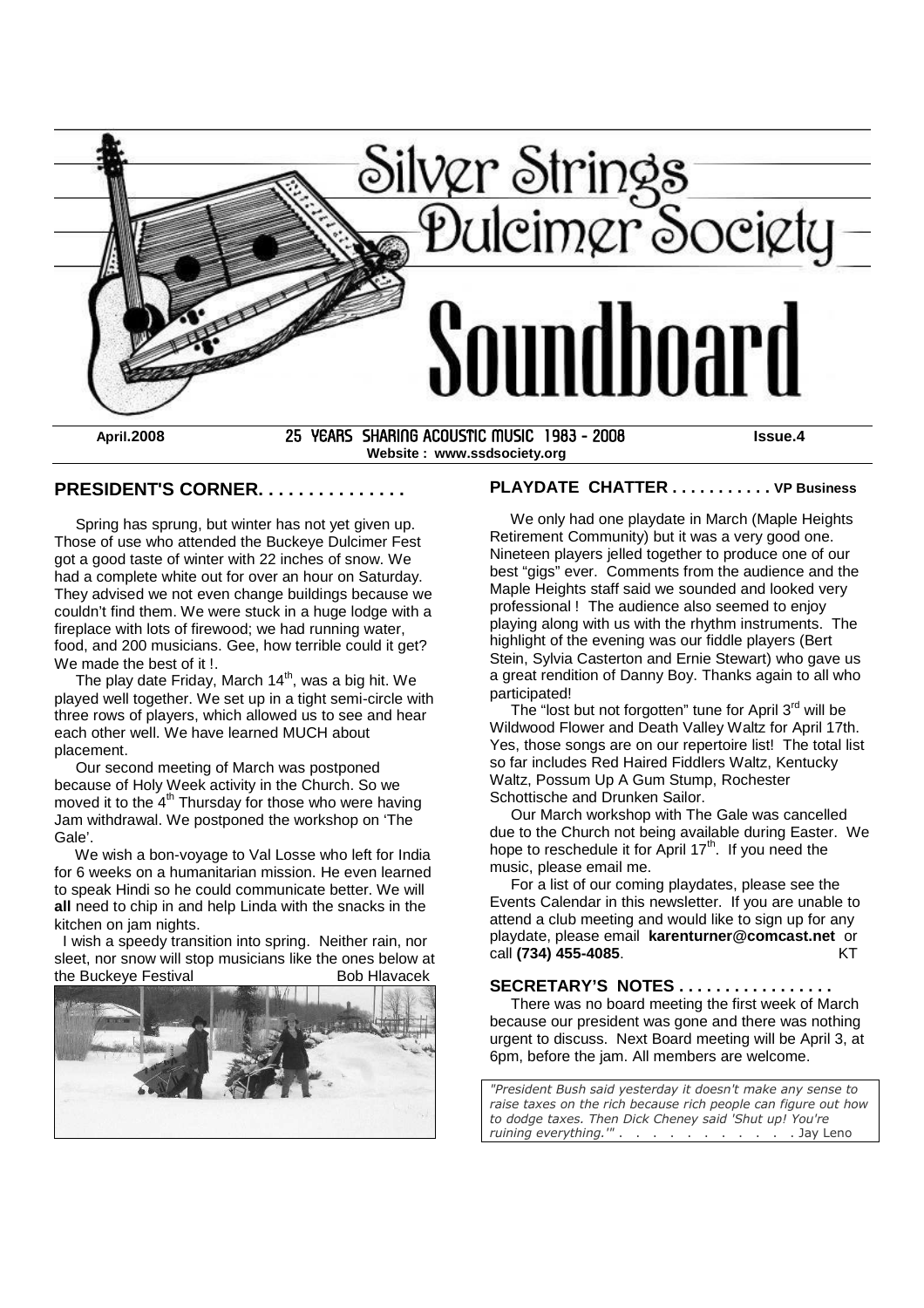

**Website : www.ssdsociety.org**

#### **PRESIDENT'S CORNER. . . . . . . . . . . . . . .**

Spring has sprung, but winter has not yet given up. Those of use who attended the Buckeye Dulcimer Fest got a good taste of winter with 22 inches of snow. We had a complete white out for over an hour on Saturday. They advised we not even change buildings because we couldn't find them. We were stuck in a huge lodge with a fireplace with lots of firewood; we had running water, food, and 200 musicians. Gee, how terrible could it get? We made the best of it!

The play date Friday, March 14<sup>th</sup>, was a big hit. We played well together. We set up in a tight semi-circle with three rows of players, which allowed us to see and hear each other well. We have learned MUCH about placement.

Our second meeting of March was postponed because of Holy Week activity in the Church. So we moved it to the 4<sup>th</sup> Thursday for those who were having Jam withdrawal. We postponed the workshop on 'The Gale'.

We wish a bon-voyage to Val Losse who left for India for 6 weeks on a humanitarian mission. He even learned to speak Hindi so he could communicate better. We will **all** need to chip in and help Linda with the snacks in the kitchen on jam nights.

I wish a speedy transition into spring. Neither rain, nor sleet, nor snow will stop musicians like the ones below at the Buckeye Festival **Bob Hiavacek** Bob Hlavacek



## **PLAYDATE CHATTER . . . . . . . . . . . VP Business**

We only had one playdate in March (Maple Heights Retirement Community) but it was a very good one. Nineteen players jelled together to produce one of our best "gigs" ever. Comments from the audience and the Maple Heights staff said we sounded and looked very professional ! The audience also seemed to enjoy playing along with us with the rhythm instruments. The highlight of the evening was our fiddle players (Bert Stein, Sylvia Casterton and Ernie Stewart) who gave us a great rendition of Danny Boy. Thanks again to all who participated!

The "lost but not forgotten" tune for April 3<sup>rd</sup> will be Wildwood Flower and Death Valley Waltz for April 17th. Yes, those songs are on our repertoire list! The total list so far includes Red Haired Fiddlers Waltz, Kentucky Waltz, Possum Up A Gum Stump, Rochester Schottische and Drunken Sailor.

Our March workshop with The Gale was cancelled due to the Church not being available during Easter. We hope to reschedule it for April  $17<sup>th</sup>$ . If you need the music, please email me.

For a list of our coming playdates, please see the Events Calendar in this newsletter. If you are unable to attend a club meeting and would like to sign up for any playdate, please email **karenturner@comcast.net** or call **(734) 455-4085**. KT

### **SECRETARY'S NOTES . . . . . . . . . . . . . . . . .**

There was no board meeting the first week of March because our president was gone and there was nothing urgent to discuss. Next Board meeting will be April 3, at 6pm, before the jam. All members are welcome.

*"President Bush said yesterday it doesn't make any sense to raise taxes on the rich because rich people can figure out how to dodge taxes. Then Dick Cheney said 'Shut up! You're ruining everything.'"* . . . . . . . . . . . Jay Leno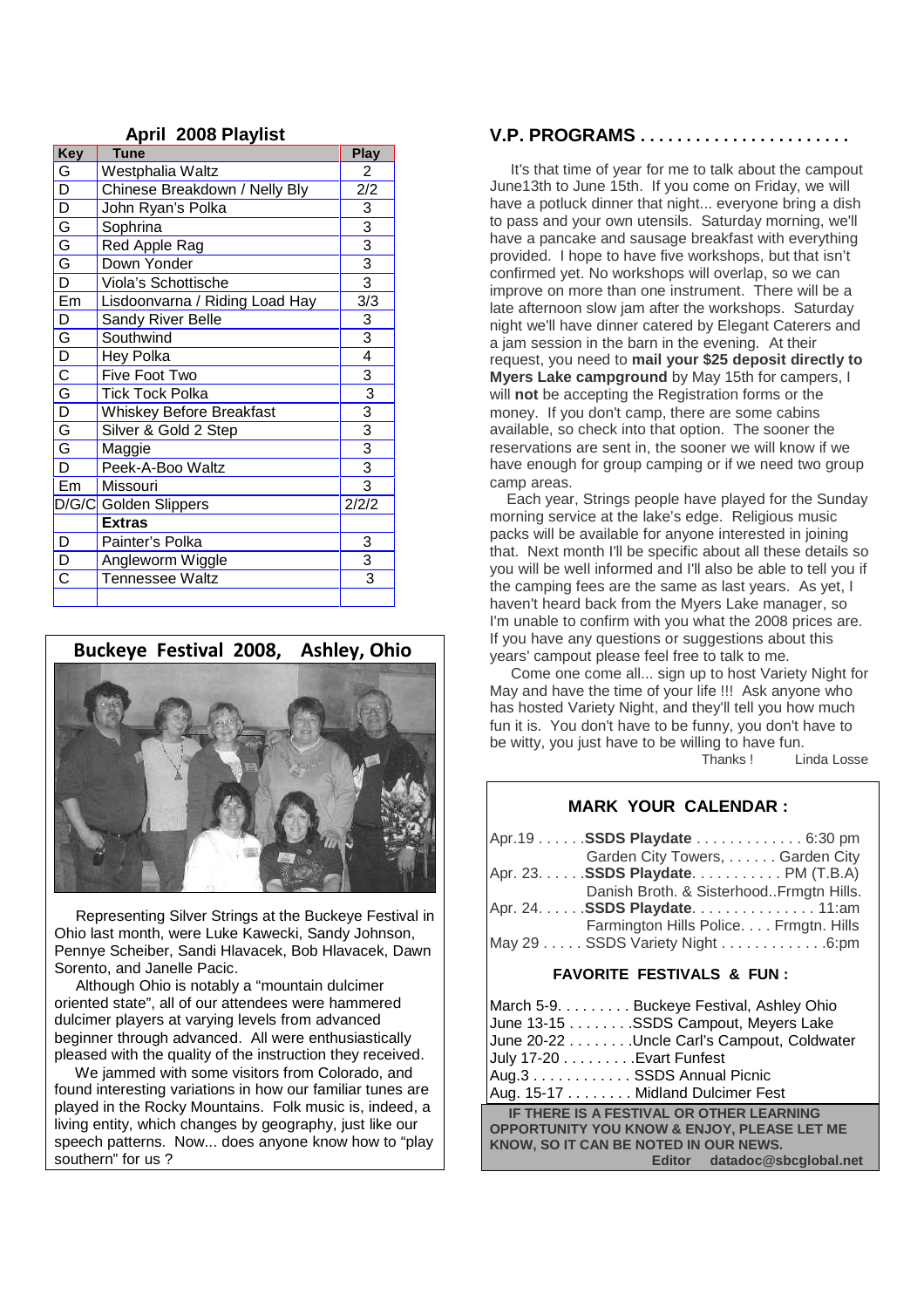| <b>Key</b>                       | <b>Tune</b>                    | <b>Play</b>                 |
|----------------------------------|--------------------------------|-----------------------------|
| $rac{G}{D}$                      | Westphalia Waltz               | 2                           |
|                                  | Chinese Breakdown / Nelly Bly  | 2/2                         |
|                                  | John Ryan's Polka              |                             |
| D<br>G<br>G                      | Sophrina                       |                             |
|                                  | Red Apple Rag                  |                             |
| $rac{a}{D}$                      | Down Yonder                    | $\frac{3}{3}$ $\frac{3}{3}$ |
|                                  | Viola's Schottische            |                             |
| Em                               | Lisdoonvarna / Riding Load Hay | 3/3                         |
| D                                | Sandy River Belle              | 3                           |
|                                  | Southwind                      | $\overline{3}$              |
|                                  | Hey Polka                      | 4                           |
| D   Q   Q   Q   G   Q   G   Q    | Five Foot Two                  | 3                           |
|                                  | <b>Tick Tock Polka</b>         | $\overline{3}$              |
|                                  | Whiskey Before Breakfast       |                             |
|                                  | Silver & Gold 2 Step           | $\frac{3}{3}$ $\frac{3}{3}$ |
|                                  | Maggie                         |                             |
|                                  | Peek-A-Boo Waltz               |                             |
| $E_{m}$                          | Missouri                       | $\overline{3}$              |
|                                  | D/G/C Golden Slippers          | 2/2/2                       |
|                                  | <b>Extras</b>                  |                             |
| D                                | Painter's Polka                | 3                           |
| $\bar{\bar{D}}$                  | Angleworm Wiggle               | 3                           |
| $\overline{\overline{\text{c}}}$ | Tennessee Waltz                | $\overline{3}$              |
|                                  |                                |                             |

### **April 2008 Playlist**

# **Buckeye Festival 2008, Ashley, Ohio**



Representing Silver Strings at the Buckeye Festival in Ohio last month, were Luke Kawecki, Sandy Johnson, Pennye Scheiber, Sandi Hlavacek, Bob Hlavacek, Dawn Sorento, and Janelle Pacic.

Although Ohio is notably a "mountain dulcimer oriented state", all of our attendees were hammered dulcimer players at varying levels from advanced beginner through advanced. All were enthusiastically pleased with the quality of the instruction they received.

We jammed with some visitors from Colorado, and found interesting variations in how our familiar tunes are played in the Rocky Mountains. Folk music is, indeed, a living entity, which changes by geography, just like our speech patterns. Now... does anyone know how to "play southern" for us ?

### **V.P. PROGRAMS . . . . . . . . . . . . . . . . . . . . . . .**

It's that time of year for me to talk about the campout June13th to June 15th. If you come on Friday, we will have a potluck dinner that night... everyone bring a dish to pass and your own utensils. Saturday morning, we'll have a pancake and sausage breakfast with everything provided. I hope to have five workshops, but that isn't confirmed yet. No workshops will overlap, so we can improve on more than one instrument. There will be a late afternoon slow jam after the workshops. Saturday night we'll have dinner catered by Elegant Caterers and a jam session in the barn in the evening. At their request, you need to **mail your \$25 deposit directly to Myers Lake campground** by May 15th for campers, I will **not** be accepting the Registration forms or the money. If you don't camp, there are some cabins available, so check into that option. The sooner the reservations are sent in, the sooner we will know if we have enough for group camping or if we need two group camp areas.

Each year, Strings people have played for the Sunday morning service at the lake's edge. Religious music packs will be available for anyone interested in joining that. Next month I'll be specific about all these details so you will be well informed and I'll also be able to tell you if the camping fees are the same as last years. As yet, I haven't heard back from the Myers Lake manager, so I'm unable to confirm with you what the 2008 prices are. If you have any questions or suggestions about this years' campout please feel free to talk to me.

Come one come all... sign up to host Variety Night for May and have the time of your life !!! Ask anyone who has hosted Variety Night, and they'll tell you how much fun it is. You don't have to be funny, you don't have to be witty, you just have to be willing to have fun.

Thanks ! Linda Losse

### **MARK YOUR CALENDAR :**

| Apr.19 SSDS Playdate 6:30 pm            |  |
|-----------------------------------------|--|
| Garden City Towers,  Garden City        |  |
| Apr. 23. SSDS Playdate. PM (T.B.A)      |  |
| Danish Broth. & SisterhoodFrmgtn Hills. |  |
| Apr. 24. SSDS Playdate. 11:am           |  |
| Farmington Hills Police. Frmgtn. Hills  |  |
| May 29 SSDS Variety Night 6:pm          |  |

#### **FAVORITE FESTIVALS & FUN :**

| March 5-9. Buckeye Festival, Ashley Ohio<br>June 13-15 SSDS Campout, Meyers Lake                                                            |  |  |  |  |
|---------------------------------------------------------------------------------------------------------------------------------------------|--|--|--|--|
| June 20-22 Uncle Carl's Campout, Coldwater<br>July 17-20 Evart Funfest<br>Aug.3 SSDS Annual Picnic                                          |  |  |  |  |
| Aug. 15-17 Midland Dulcimer Fest                                                                                                            |  |  |  |  |
| IF THERE IS A FESTIVAL OR OTHER LEARNING<br><b>OPPORTUNITY YOU KNOW &amp; ENJOY, PLEASE LET ME</b><br>KNOW, SO IT CAN BE NOTED IN OUR NEWS. |  |  |  |  |
| Editor datadoc@sbcqlobal.net                                                                                                                |  |  |  |  |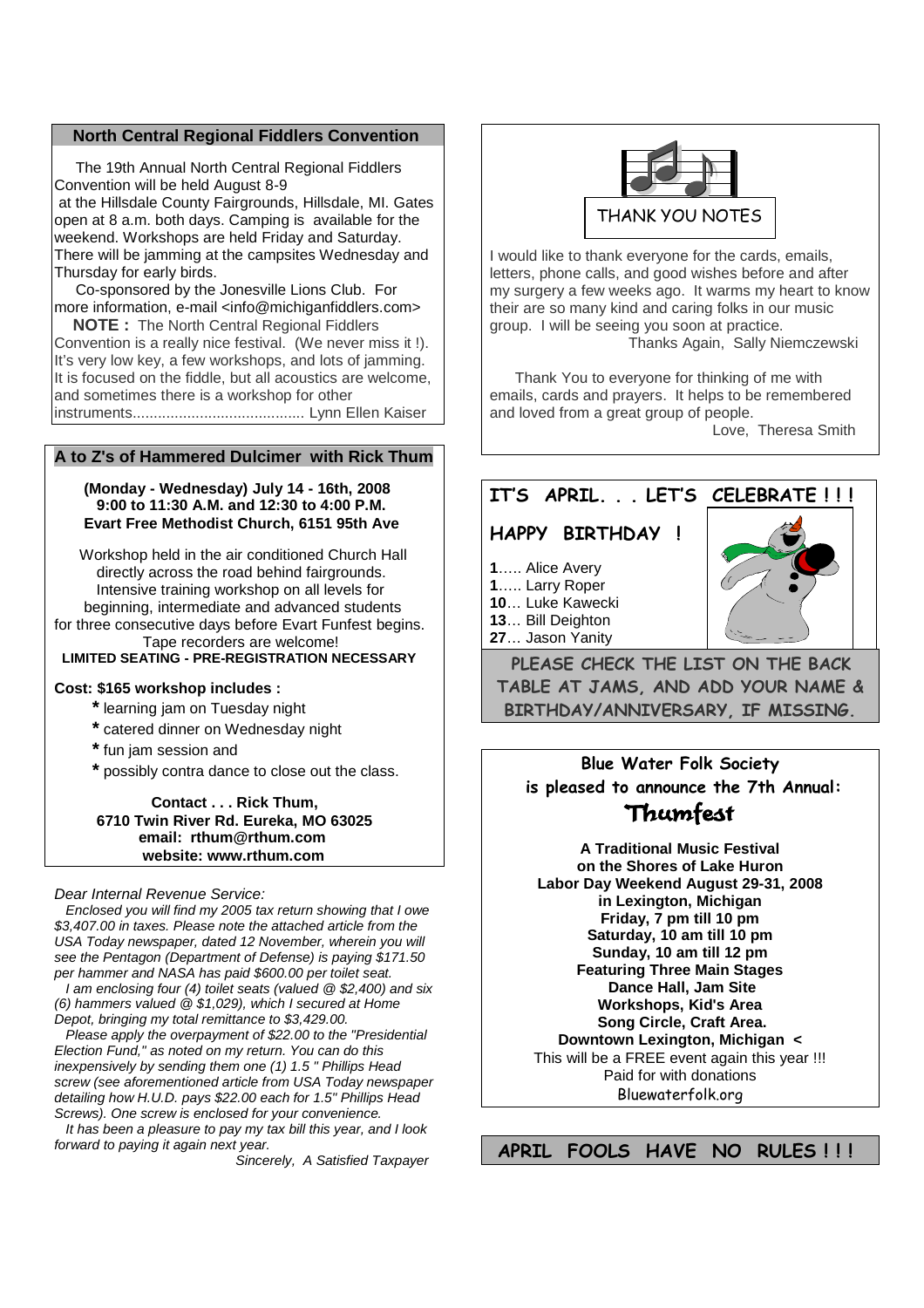#### **North Central Regional Fiddlers Convention**

The 19th Annual North Central Regional Fiddlers Convention will be held August 8-9 at the Hillsdale County Fairgrounds, Hillsdale, MI. Gates open at 8 a.m. both days. Camping is available for the weekend. Workshops are held Friday and Saturday. There will be jamming at the campsites Wednesday and Thursday for early birds.

Co-sponsored by the Jonesville Lions Club. For more information, e-mail <info@michiganfiddlers.com>

**NOTE :** The North Central Regional Fiddlers Convention is a really nice festival. (We never miss it !). It's very low key, a few workshops, and lots of jamming. It is focused on the fiddle, but all acoustics are welcome. and sometimes there is a workshop for other instruments......................................... Lynn Ellen Kaiser

### **A to Z's of Hammered Dulcimer with Rick Thum**

### **(Monday - Wednesday) July 14 - 16th, 2008 9:00 to 11:30 A.M. and 12:30 to 4:00 P.M. Evart Free Methodist Church, 6151 95th Ave**

Workshop held in the air conditioned Church Hall directly across the road behind fairgrounds. Intensive training workshop on all levels for beginning, intermediate and advanced students for three consecutive days before Evart Funfest begins. Tape recorders are welcome! **LIMITED SEATING - PRE-REGISTRATION NECESSARY**

#### **Cost: \$165 workshop includes :**

- **\*** learning jam on Tuesday night
- **\*** catered dinner on Wednesday night
- **\*** fun jam session and
- **\*** possibly contra dance to close out the class.

**Contact . . . Rick Thum, 6710 Twin River Rd. Eureka, MO 63025 email: rthum@rthum.com website: www.rthum.com**

#### *Dear Internal Revenue Service:*

*Enclosed you will find my 2005 tax return showing that I owe \$3,407.00 in taxes. Please note the attached article from the USA Today newspaper, dated 12 November, wherein you will see the Pentagon (Department of Defense) is paying \$171.50 per hammer and NASA has paid \$600.00 per toilet seat.*

*I am enclosing four (4) toilet seats (valued @ \$2,400) and six (6) hammers valued @ \$1,029), which I secured at Home Depot, bringing my total remittance to \$3,429.00.*

*Please apply the overpayment of \$22.00 to the "Presidential Election Fund," as noted on my return. You can do this inexpensively by sending them one (1) 1.5 " Phillips Head screw (see aforementioned article from USA Today newspaper detailing how H.U.D. pays \$22.00 each for 1.5" Phillips Head Screws). One screw is enclosed for your convenience.*

*It has been a pleasure to pay my tax bill this year, and I look forward to paying it again next year.*

*Sincerely, A Satisfied Taxpayer*



I would like to thank everyone for the cards, emails, letters, phone calls, and good wishes before and after my surgery a few weeks ago. It warms my heart to know their are so many kind and caring folks in our music group. I will be seeing you soon at practice.

Thanks Again, Sally Niemczewski

Thank You to everyone for thinking of me with emails, cards and prayers. It helps to be remembered and loved from a great group of people.

Love, Theresa Smith

## **IT'S APRIL. . . LET'S CELEBRATE ! ! !**

## **HAPPY BIRTHDAY !**

- **1**….. Alice Avery
- **1**….. Larry Roper
- **10**… Luke Kawecki
- **13**… Bill Deighton
- **27**… Jason Yanity

**PLEASE CHECK THE LIST ON THE BACK TABLE AT JAMS, AND ADD YOUR NAME & BIRTHDAY/ANNIVERSARY, IF MISSING.**

**Blue Water Folk Society is pleased to announce the 7th Annual:**

# Thumfest

**A Traditional Music Festival on the Shores of Lake Huron Labor Day Weekend August 29-31, 2008 in Lexington, Michigan Friday, 7 pm till 10 pm Saturday, 10 am till 10 pm Sunday, 10 am till 12 pm Featuring Three Main Stages Dance Hall, Jam Site Workshops, Kid's Area Song Circle, Craft Area. Downtown Lexington, Michigan <** This will be a FREE event again this year !!! Paid for with donations

Bluewaterfolk.org

**APRIL FOOLS HAVE NO RULES ! ! !**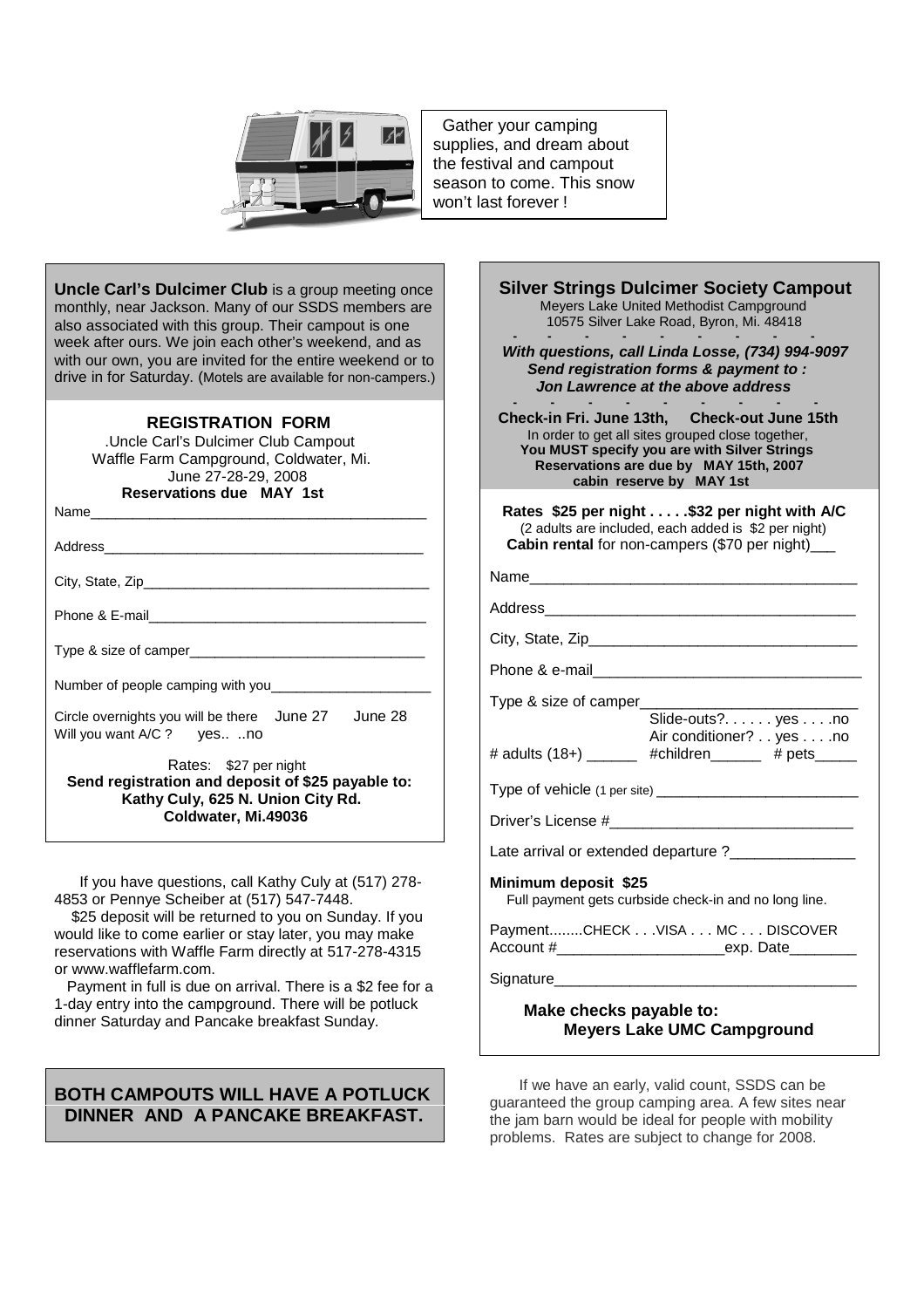

Gather your camping supplies, and dream about the festival and campout season to come. This snow won't last forever !

**Uncle Carl's Dulcimer Club** is a group meeting once monthly, near Jackson. Many of our SSDS members are also associated with this group. Their campout is one week after ours. We join each other's weekend, and as with our own, you are invited for the entire weekend or to drive in for Saturday. (Motels are available for non-campers.)

## **REGISTRATION FORM**

.Uncle Carl's Dulcimer Club Campout Waffle Farm Campground, Coldwater, Mi. June 27-28-29, 2008 **Reservations due MAY 1st**

Name\_\_\_\_\_\_\_\_\_\_\_\_\_\_\_\_\_\_\_\_\_\_\_\_\_\_\_\_\_\_\_\_\_\_\_\_\_\_\_\_

Address

City, State, Zip\_\_\_\_\_\_\_\_\_\_\_\_\_\_\_\_\_\_\_\_\_\_\_\_\_\_\_\_\_\_\_\_\_\_

Phone & E-mail

Type & size of camper\_

Number of people camping with you\_

Circle overnights you will be there June 27 June 28 Will you want A/C ? yes.. ..no

Rates: \$27 per night

**Send registration and deposit of \$25 payable to: Kathy Culy, 625 N. Union City Rd. Coldwater, Mi.49036**

If you have questions, call Kathy Culy at (517) 278- 4853 or Pennye Scheiber at (517) 547-7448.

\$25 deposit will be returned to you on Sunday. If you would like to come earlier or stay later, you may make reservations with Waffle Farm directly at 517-278-4315 or www.wafflefarm.com.

Payment in full is due on arrival. There is a \$2 fee for a 1-day entry into the campground. There will be potluck dinner Saturday and Pancake breakfast Sunday.

## **BOTH CAMPOUTS WILL HAVE A POTLUCK DINNER AND A PANCAKE BREAKFAST.**

| <b>Silver Strings Dulcimer Society Campout</b><br>Meyers Lake United Methodist Campground<br>10575 Silver Lake Road, Byron, Mi. 48418                                                                                   |  |
|-------------------------------------------------------------------------------------------------------------------------------------------------------------------------------------------------------------------------|--|
| With questions, call Linda Losse, (734) 994-9097<br>Send registration forms & payment to:<br>Jon Lawrence at the above address                                                                                          |  |
| Check-in Fri. June 13th, Check-out June 15th<br>In order to get all sites grouped close together,<br>You MUST specify you are with Silver Strings<br>Reservations are due by MAY 15th, 2007<br>cabin reserve by MAY 1st |  |
| Rates \$25 per night \$32 per night with A/C<br>(2 adults are included, each added is \$2 per night)<br>Cabin rental for non-campers (\$70 per night)_                                                                  |  |
| Name________________________________                                                                                                                                                                                    |  |
|                                                                                                                                                                                                                         |  |
|                                                                                                                                                                                                                         |  |
|                                                                                                                                                                                                                         |  |
| Type & size of camper_____<br>Slide-outs?. yesno<br>Air conditioner? yes no                                                                                                                                             |  |
| # adults (18+) ______ #children_____ # pets____                                                                                                                                                                         |  |
|                                                                                                                                                                                                                         |  |
|                                                                                                                                                                                                                         |  |
| Late arrival or extended departure ? ________________                                                                                                                                                                   |  |
| Minimum deposit \$25<br>Full payment gets curbside check-in and no long line.                                                                                                                                           |  |
| PaymentCHECK VISA MC DISCOVER                                                                                                                                                                                           |  |
| Signature____________________                                                                                                                                                                                           |  |

**Make checks payable to: Meyers Lake UMC Campground**

If we have an early, valid count, SSDS can be guaranteed the group camping area. A few sites near the jam barn would be ideal for people with mobility problems. Rates are subject to change for 2008.